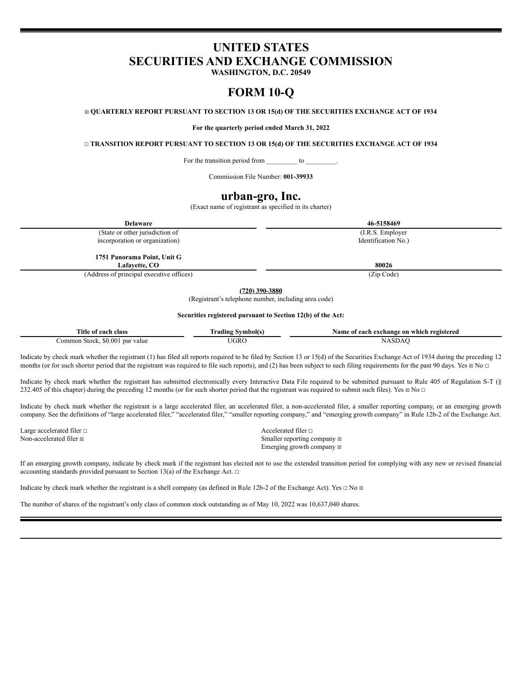# **UNITED STATES SECURITIES AND EXCHANGE COMMISSION**

**WASHINGTON, D.C. 20549**

# **FORM 10-Q**

☒ **QUARTERLY REPORT PURSUANT TO SECTION 13 OR 15(d) OF THE SECURITIES EXCHANGE ACT OF 1934**

**For the quarterly period ended March 31, 2022**

☐ **TRANSITION REPORT PURSUANT TO SECTION 13 OR 15(d) OF THE SECURITIES EXCHANGE ACT OF 1934**

For the transition period from \_\_\_\_\_\_\_\_\_ to \_\_\_\_\_\_\_\_\_.

Commission File Number: **001-39933**

# **urban-gro, Inc.**

(Exact name of registrant as specified in its charter)

| <b>Delaware</b>                          | 46-5158469          |
|------------------------------------------|---------------------|
| (State or other jurisdiction of          | (I.R.S. Employer)   |
| incorporation or organization)           | Identification No.) |
|                                          |                     |
| 1751 Panorama Point, Unit G              |                     |
| Lafavette, CO                            | 80026               |
| (Address of principal executive offices) | (Zip Code)          |

**(720) 390-3880**

(Registrant's telephone number, including area code)

**Securities registered pursuant to Section 12(b) of the Act:**

| Title of each<br>class                 | <b>CONT</b><br><b>Symbol</b><br>radıng | Name of each exchange on which registered |
|----------------------------------------|----------------------------------------|-------------------------------------------|
| \$0.00<br>ommon<br>par value<br>Stock. | <b>JGRC</b>                            | ``                                        |

Indicate by check mark whether the registrant (1) has filed all reports required to be filed by Section 13 or 15(d) of the Securities Exchange Act of 1934 during the preceding 12 months (or for such shorter period that the registrant was required to file such reports), and (2) has been subject to such filing requirements for the past 90 days. Yes  $\boxtimes$  No  $\Box$ 

Indicate by check mark whether the registrant has submitted electronically every Interactive Data File required to be submitted pursuant to Rule 405 of Regulation S-T (§ 232.405 of this chapter) during the preceding 12 months (or for such shorter period that the registrant was required to submit such files). Yes  $\boxtimes$  No  $\Box$ 

Indicate by check mark whether the registrant is a large accelerated filer, an accelerated filer, a non-accelerated filer, a smaller reporting company, or an emerging growth company. See the definitions of "large accelerated filer," "accelerated filer," "smaller reporting company," and "emerging growth company" in Rule 12b-2 of the Exchange Act.

Large accelerated filer □ and notice in the set of the set of the set of the set of the set of the set of the set of the set of the set of the set of the set of the set of the set of the set of the set of the set of the s

Non-accelerated filer  $\boxtimes$ Emerging growth company  $\boxtimes$ 

If an emerging growth company, indicate by check mark if the registrant has elected not to use the extended transition period for complying with any new or revised financial accounting standards provided pursuant to Section 13(a) of the Exchange Act.  $□$ 

Indicate by check mark whether the registrant is a shell company (as defined in Rule 12b-2 of the Exchange Act). Yes  $\Box$  No  $\Box$ 

The number of shares of the registrant's only class of common stock outstanding as of May 10, 2022 was 10,637,040 shares.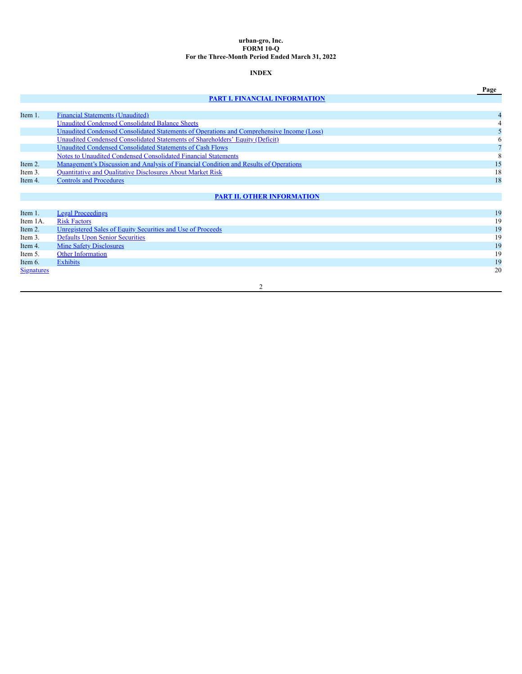### **urban-gro, Inc. FORM 10-Q For the Three-Month Period Ended March 31, 2022**

### **INDEX**

|            |                                                                                           | Page |
|------------|-------------------------------------------------------------------------------------------|------|
|            | <b>PART I. FINANCIAL INFORMATION</b>                                                      |      |
|            |                                                                                           |      |
| Item 1.    | <b>Financial Statements (Unaudited)</b>                                                   | 4    |
|            | <b>Unaudited Condensed Consolidated Balance Sheets</b>                                    |      |
|            | Unaudited Condensed Consolidated Statements of Operations and Comprehensive Income (Loss) |      |
|            | Unaudited Condensed Consolidated Statements of Shareholders' Equity (Deficit)             | 6    |
|            | Unaudited Condensed Consolidated Statements of Cash Flows                                 |      |
|            | Notes to Unaudited Condensed Consolidated Financial Statements                            | 8    |
| Item 2.    | Management's Discussion and Analysis of Financial Condition and Results of Operations     | 15   |
| Item 3.    | <b>Ouantitative and Qualitative Disclosures About Market Risk</b>                         | 18   |
| Item 4.    | <b>Controls and Procedures</b>                                                            | 18   |
|            |                                                                                           |      |
|            | <b>PART II. OTHER INFORMATION</b>                                                         |      |
|            |                                                                                           |      |
| Item 1.    | <b>Legal Proceedings</b>                                                                  | 19   |
| Item 1A.   | <b>Risk Factors</b>                                                                       | 19   |
| Item 2.    | <b>Unregistered Sales of Equity Securities and Use of Proceeds</b>                        | 19   |
| Item 3.    | <b>Defaults Upon Senior Securities</b>                                                    | 19   |
| Item 4.    | <b>Mine Safety Disclosures</b>                                                            | 19   |
| Item 5.    | Other Information                                                                         | 19   |
| Item 6.    | <b>Exhibits</b>                                                                           | 19   |
| Signatures |                                                                                           | 20   |
|            |                                                                                           |      |
|            | $\overline{2}$                                                                            |      |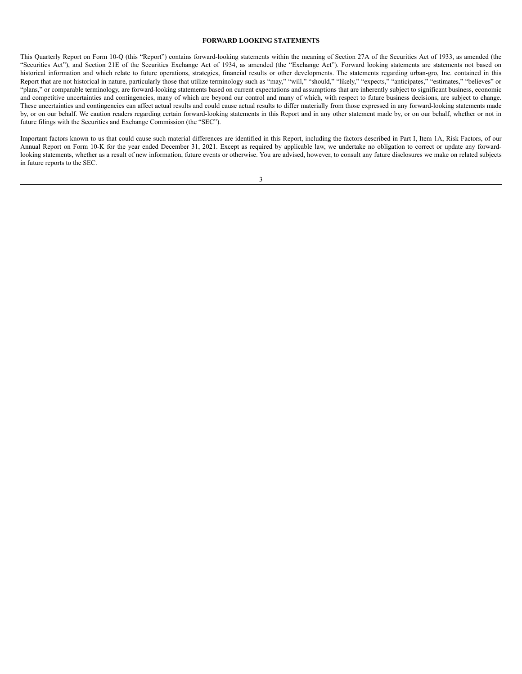#### **FORWARD LOOKING STATEMENTS**

This Quarterly Report on Form 10-Q (this "Report") contains forward-looking statements within the meaning of Section 27A of the Securities Act of 1933, as amended (the "Securities Act"), and Section 21E of the Securities Exchange Act of 1934, as amended (the "Exchange Act"). Forward looking statements are statements not based on historical information and which relate to future operations, strategies, financial results or other developments. The statements regarding urban-gro, Inc. contained in this Report that are not historical in nature, particularly those that utilize terminology such as "may," "will," "should," "likely," "expects," "anticipates," "estimates," "believes" or "plans," or comparable terminology, are forward-looking statements based on current expectations and assumptions that are inherently subject to significant business, economic and competitive uncertainties and contingencies, many of which are beyond our control and many of which, with respect to future business decisions, are subject to change. These uncertainties and contingencies can affect actual results and could cause actual results to differ materially from those expressed in any forward-looking statements made by, or on our behalf. We caution readers regarding certain forward-looking statements in this Report and in any other statement made by, or on our behalf, whether or not in future filings with the Securities and Exchange Commission (the "SEC").

Important factors known to us that could cause such material differences are identified in this Report, including the factors described in Part I, Item 1A, Risk Factors, of our Annual Report on Form 10-K for the year ended December 31, 2021. Except as required by applicable law, we undertake no obligation to correct or update any forwardlooking statements, whether as a result of new information, future events or otherwise. You are advised, however, to consult any future disclosures we make on related subjects in future reports to the SEC.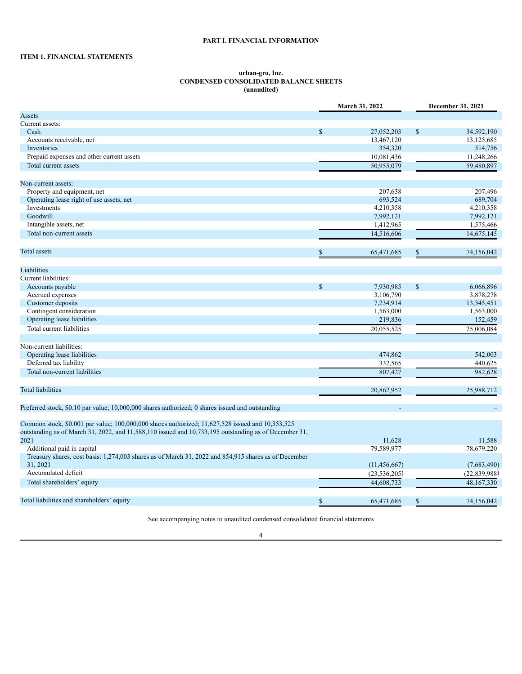### **PART I. FINANCIAL INFORMATION**

# <span id="page-3-1"></span><span id="page-3-0"></span>**ITEM 1. FINANCIAL STATEMENTS**

#### **urban-gro, Inc. CONDENSED CONSOLIDATED BALANCE SHEETS (unaudited)**

<span id="page-3-2"></span>

|                                                                                                                                                                                                           | March 31, 2022 |                | <b>December 31, 2021</b> |                |
|-----------------------------------------------------------------------------------------------------------------------------------------------------------------------------------------------------------|----------------|----------------|--------------------------|----------------|
| Assets                                                                                                                                                                                                    |                |                |                          |                |
| Current assets:                                                                                                                                                                                           |                |                |                          |                |
| Cash                                                                                                                                                                                                      | $\mathcal{S}$  | 27,052,203     | $\mathcal{S}$            | 34,592,190     |
| Accounts receivable, net                                                                                                                                                                                  |                | 13,467,120     |                          | 13,125,685     |
| Inventories                                                                                                                                                                                               |                | 354,320        |                          | 514,756        |
| Prepaid expenses and other current assets                                                                                                                                                                 |                | 10,081,436     |                          | 11,248,266     |
| Total current assets                                                                                                                                                                                      |                | 50,955,079     |                          | 59,480,897     |
| Non-current assets:                                                                                                                                                                                       |                |                |                          |                |
| Property and equipment, net                                                                                                                                                                               |                | 207,638        |                          | 207,496        |
| Operating lease right of use assets, net                                                                                                                                                                  |                | 693,524        |                          | 689,704        |
| Investments                                                                                                                                                                                               |                | 4,210,358      |                          | 4,210,358      |
| Goodwill                                                                                                                                                                                                  |                | 7,992,121      |                          | 7,992,121      |
| Intangible assets, net                                                                                                                                                                                    |                | 1,412,965      |                          | 1,575,466      |
| Total non-current assets                                                                                                                                                                                  |                | 14,516,606     |                          | 14,675,145     |
| <b>Total assets</b>                                                                                                                                                                                       | S              | 65,471,685     | S                        | 74,156,042     |
| Liabilities                                                                                                                                                                                               |                |                |                          |                |
| Current liabilities:                                                                                                                                                                                      |                |                |                          |                |
| Accounts payable                                                                                                                                                                                          | $\mathcal{S}$  | 7,930,985      | $\mathbb{S}$             | 6,066,896      |
| Accrued expenses                                                                                                                                                                                          |                | 3,106,790      |                          | 3,878,278      |
| Customer deposits                                                                                                                                                                                         |                | 7,234,914      |                          | 13,345,451     |
| Contingent consideration                                                                                                                                                                                  |                | 1,563,000      |                          | 1,563,000      |
| Operating lease liabilities                                                                                                                                                                               |                | 219,836        |                          | 152,459        |
| Total current liabilities                                                                                                                                                                                 |                | 20,055,525     |                          | 25,006,084     |
| Non-current liabilities:                                                                                                                                                                                  |                |                |                          |                |
| Operating lease liabilities                                                                                                                                                                               |                | 474,862        |                          | 542,003        |
| Deferred tax liability                                                                                                                                                                                    |                | 332,565        |                          | 440,625        |
| Total non-current liabilities                                                                                                                                                                             |                |                |                          |                |
|                                                                                                                                                                                                           |                | 807,427        |                          | 982,628        |
| <b>Total liabilities</b>                                                                                                                                                                                  |                | 20,862,952     |                          | 25,988,712     |
| Preferred stock, \$0.10 par value; 10,000,000 shares authorized; 0 shares issued and outstanding                                                                                                          |                |                |                          |                |
| Common stock, \$0.001 par value; 100,000,000 shares authorized; 11,627,528 issued and 10,353,525<br>outstanding as of March 31, 2022, and 11,588,110 issued and 10,733,195 outstanding as of December 31, |                |                |                          |                |
| 2021                                                                                                                                                                                                      |                | 11,628         |                          | 11,588         |
| Additional paid in capital                                                                                                                                                                                |                | 79,589,977     |                          | 78,679,220     |
| Treasury shares, cost basis: 1,274,003 shares as of March 31, 2022 and 854,915 shares as of December<br>31, 2021                                                                                          |                | (11, 456, 667) |                          | (7,683,490)    |
| Accumulated deficit                                                                                                                                                                                       |                | (23, 536, 205) |                          | (22, 839, 988) |
| Total shareholders' equity                                                                                                                                                                                |                | 44,608,733     |                          | 48,167,330     |
| Total liabilities and shareholders' equity                                                                                                                                                                |                |                |                          |                |
|                                                                                                                                                                                                           | \$             | 65,471,685     | \$                       | 74,156,042     |

See accompanying notes to unaudited condensed consolidated financial statements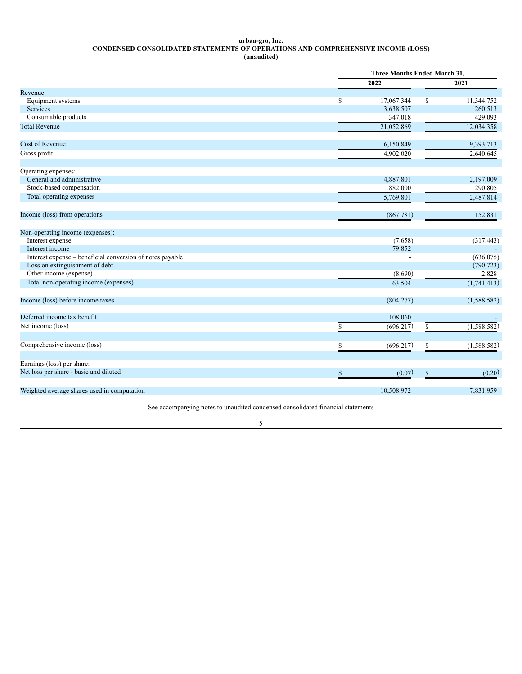### **urban-gro, Inc. CONDENSED CONSOLIDATED STATEMENTS OF OPERATIONS AND COMPREHENSIVE INCOME (LOSS) (unaudited)**

<span id="page-4-0"></span>

|                                                           |      | <b>Three Months Ended March 31,</b> |             |  |
|-----------------------------------------------------------|------|-------------------------------------|-------------|--|
|                                                           | 2022 |                                     | 2021        |  |
| Revenue                                                   |      |                                     |             |  |
| Equipment systems                                         | \$   | \$<br>17,067,344                    | 11,344,752  |  |
| Services                                                  |      | 3,638,507                           | 260,513     |  |
| Consumable products                                       |      | 347,018                             | 429,093     |  |
| <b>Total Revenue</b>                                      |      | 21,052,869                          | 12,034,358  |  |
| Cost of Revenue                                           |      | 16,150,849                          | 9,393,713   |  |
| Gross profit                                              |      | 4,902,020                           | 2,640,645   |  |
| Operating expenses:                                       |      |                                     |             |  |
| General and administrative                                |      | 4,887,801                           | 2,197,009   |  |
| Stock-based compensation                                  |      | 882,000                             | 290,805     |  |
| Total operating expenses                                  |      | 5,769,801                           | 2,487,814   |  |
| Income (loss) from operations                             |      | (867,781)                           | 152,831     |  |
| Non-operating income (expenses):                          |      |                                     |             |  |
| Interest expense                                          |      | (7,658)                             | (317, 443)  |  |
| Interest income                                           |      | 79,852                              |             |  |
| Interest expense - beneficial conversion of notes payable |      |                                     | (636, 075)  |  |
| Loss on extinguishment of debt                            |      |                                     | (790, 723)  |  |
| Other income (expense)                                    |      | (8,690)                             | 2,828       |  |
| Total non-operating income (expenses)                     |      | 63,504                              | (1,741,413) |  |
| Income (loss) before income taxes                         |      | (804, 277)                          | (1,588,582) |  |
| Deferred income tax benefit                               |      | 108,060                             |             |  |
| Net income (loss)                                         | \$   | \$<br>(696, 217)                    | (1,588,582) |  |
| Comprehensive income (loss)                               | \$   | \$<br>(696, 217)                    | (1,588,582) |  |
| Earnings (loss) per share:                                |      |                                     |             |  |
| Net loss per share - basic and diluted                    | \$   | (0.07)<br>\$                        | (0.20)      |  |
| Weighted average shares used in computation               |      | 10,508,972                          | 7,831,959   |  |

See accompanying notes to unaudited condensed consolidated financial statements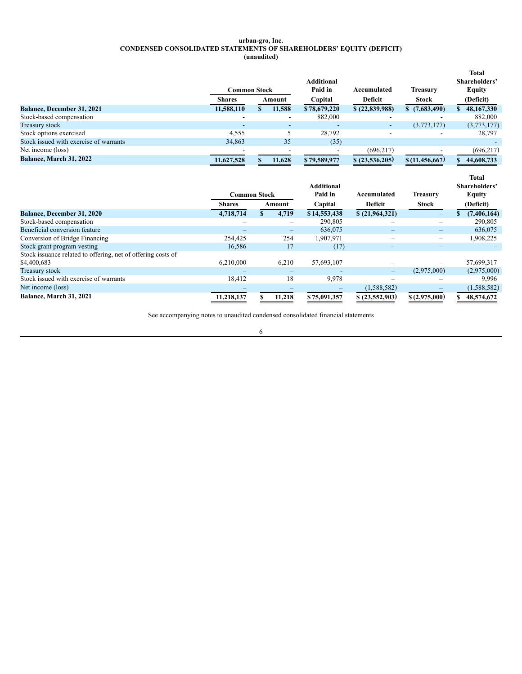#### **urban-gro, Inc. CONDENSED CONSOLIDATED STATEMENTS OF SHAREHOLDERS' EQUITY (DEFICIT) (unaudited)**

<span id="page-5-0"></span>

|                                        |               |        |                   |                |                  | <b>Total</b>  |
|----------------------------------------|---------------|--------|-------------------|----------------|------------------|---------------|
|                                        |               |        | <b>Additional</b> |                |                  | Shareholders' |
|                                        | Common Stock  |        | Paid in           | Accumulated    | <b>Treasury</b>  | <b>Equity</b> |
|                                        | <b>Shares</b> | Amount | Capital           | Deficit        | <b>Stock</b>     | (Deficit)     |
| <b>Balance, December 31, 2021</b>      | 11,588,110    | 11,588 | \$78,679,220      | \$(22,839,988) | \$(7,683,490)    | 48,167,330    |
| Stock-based compensation               |               |        | 882,000           |                |                  | 882,000       |
| Treasury stock                         |               |        |                   |                | (3,773,177)      | (3,773,177)   |
| Stock options exercised                | 4,555         |        | 28,792            |                |                  | 28,797        |
| Stock issued with exercise of warrants | 34,863        | 35     | (35)              |                |                  |               |
| Net income (loss)                      |               |        |                   | (696, 217)     |                  | (696, 217)    |
| <b>Balance, March 31, 2022</b>         | 11,627,528    | 11.628 | \$79,589,977      | \$(23,536,205) | \$(11, 456, 667) | 44,608,733    |

|                                                              | <b>Common Stock</b> |                              | <b>Additional</b><br>Paid in | Accumulated    | <b>Treasury</b> | <b>Total</b><br>Shareholders'<br><b>Equity</b> |
|--------------------------------------------------------------|---------------------|------------------------------|------------------------------|----------------|-----------------|------------------------------------------------|
|                                                              | <b>Shares</b>       | Amount                       | Capital                      | Deficit        | <b>Stock</b>    | (Deficit)                                      |
| <b>Balance, December 31, 2020</b>                            | 4,718,714           | 4.719                        | \$14,553,438                 | \$(21,964,321) | -               | (7,406,164)<br>\$                              |
| Stock-based compensation                                     |                     |                              | 290,805                      |                |                 | 290,805                                        |
| Beneficial conversion feature                                |                     | $\qquad \qquad \blacksquare$ | 636,075                      |                | -               | 636,075                                        |
| Conversion of Bridge Financing                               | 254.425             | 254                          | 1,907,971                    |                | -               | 1,908,225                                      |
| Stock grant program vesting                                  | 16,586              | 17                           | (17)                         | —              | -               |                                                |
| Stock issuance related to offering, net of offering costs of |                     |                              |                              |                |                 |                                                |
| \$4,400,683                                                  | 6,210,000           | 6,210                        | 57,693,107                   |                |                 | 57,699,317                                     |
| <b>Treasury stock</b>                                        |                     |                              |                              |                | (2,975,000)     | (2,975,000)                                    |
| Stock issued with exercise of warrants                       | 18,412              | 18                           | 9,978                        |                | -               | 9.996                                          |
| Net income (loss)                                            |                     |                              |                              | (1,588,582)    |                 | (1,588,582)                                    |
| Balance, March 31, 2021                                      | 11,218,137          | 11,218                       | \$75,091,357                 | \$(23,552,903) | \$(2,975,000)   | 48,574,672                                     |

See accompanying notes to unaudited condensed consolidated financial statements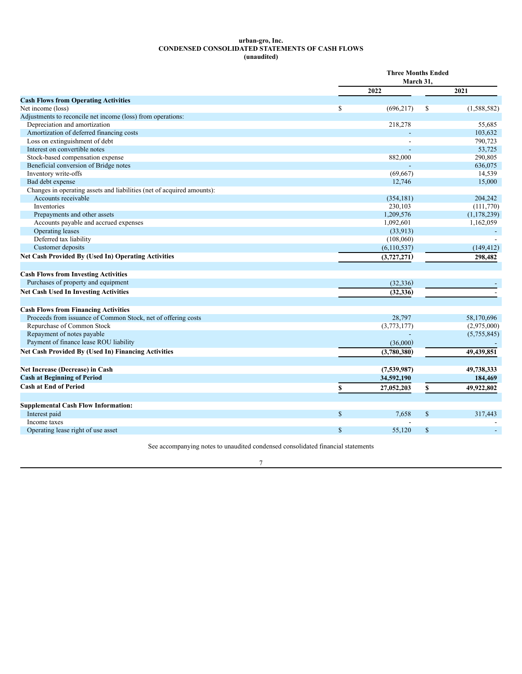### **urban-gro, Inc. CONDENSED CONSOLIDATED STATEMENTS OF CASH FLOWS (unaudited)**

<span id="page-6-0"></span>

|                                                                        |               | <b>Three Months Ended</b><br>March 31. |    |             |  |  |
|------------------------------------------------------------------------|---------------|----------------------------------------|----|-------------|--|--|
|                                                                        |               | 2022                                   |    | 2021        |  |  |
| <b>Cash Flows from Operating Activities</b>                            |               |                                        |    |             |  |  |
| Net income (loss)                                                      | \$            | (696, 217)                             | \$ | (1,588,582) |  |  |
| Adjustments to reconcile net income (loss) from operations:            |               |                                        |    |             |  |  |
| Depreciation and amortization                                          |               | 218,278                                |    | 55,685      |  |  |
| Amortization of deferred financing costs                               |               |                                        |    | 103,632     |  |  |
| Loss on extinguishment of debt                                         |               |                                        |    | 790,723     |  |  |
| Interest on convertible notes                                          |               |                                        |    | 53,725      |  |  |
| Stock-based compensation expense                                       |               | 882,000                                |    | 290,805     |  |  |
| Beneficial conversion of Bridge notes                                  |               |                                        |    | 636,075     |  |  |
| Inventory write-offs                                                   |               | (69, 667)                              |    | 14,539      |  |  |
| Bad debt expense                                                       |               | 12,746                                 |    | 15,000      |  |  |
| Changes in operating assets and liabilities (net of acquired amounts): |               |                                        |    |             |  |  |
| Accounts receivable                                                    |               | (354, 181)                             |    | 204,242     |  |  |
| Inventories                                                            |               | 230,103                                |    | (111,770)   |  |  |
| Prepayments and other assets                                           |               | 1,209,576                              |    | (1,178,239) |  |  |
| Accounts payable and accrued expenses                                  |               | 1,092,601                              |    | 1,162,059   |  |  |
| Operating leases                                                       |               | (33,913)                               |    |             |  |  |
| Deferred tax liability                                                 |               | (108,060)                              |    |             |  |  |
| Customer deposits                                                      |               | (6,110,537)                            |    | (149, 412)  |  |  |
| Net Cash Provided By (Used In) Operating Activities                    |               | (3,727,271)                            |    | 298,482     |  |  |
|                                                                        |               |                                        |    |             |  |  |
| <b>Cash Flows from Investing Activities</b>                            |               |                                        |    |             |  |  |
| Purchases of property and equipment                                    |               | (32, 336)                              |    |             |  |  |
| <b>Net Cash Used In Investing Activities</b>                           |               | (32, 336)                              |    |             |  |  |
| <b>Cash Flows from Financing Activities</b>                            |               |                                        |    |             |  |  |
| Proceeds from issuance of Common Stock, net of offering costs          |               | 28,797                                 |    | 58,170,696  |  |  |
| Repurchase of Common Stock                                             |               | (3,773,177)                            |    | (2,975,000) |  |  |
| Repayment of notes payable                                             |               |                                        |    | (5,755,845) |  |  |
| Payment of finance lease ROU liability                                 |               | (36,000)                               |    |             |  |  |
| Net Cash Provided By (Used In) Financing Activities                    |               | (3,780,380)                            |    | 49,439,851  |  |  |
|                                                                        |               |                                        |    |             |  |  |
| Net Increase (Decrease) in Cash                                        |               | (7,539,987)                            |    | 49,738,333  |  |  |
| <b>Cash at Beginning of Period</b>                                     |               | 34,592,190                             |    | 184,469     |  |  |
| <b>Cash at End of Period</b>                                           | S             | 27,052,203                             | \$ | 49,922,802  |  |  |
| <b>Supplemental Cash Flow Information:</b>                             |               |                                        |    |             |  |  |
| Interest paid                                                          | <sup>\$</sup> | 7.658                                  | \$ | 317,443     |  |  |
| Income taxes                                                           |               |                                        |    |             |  |  |
| Operating lease right of use asset                                     | \$            | 55,120                                 | \$ |             |  |  |
|                                                                        |               |                                        |    |             |  |  |

See accompanying notes to unaudited condensed consolidated financial statements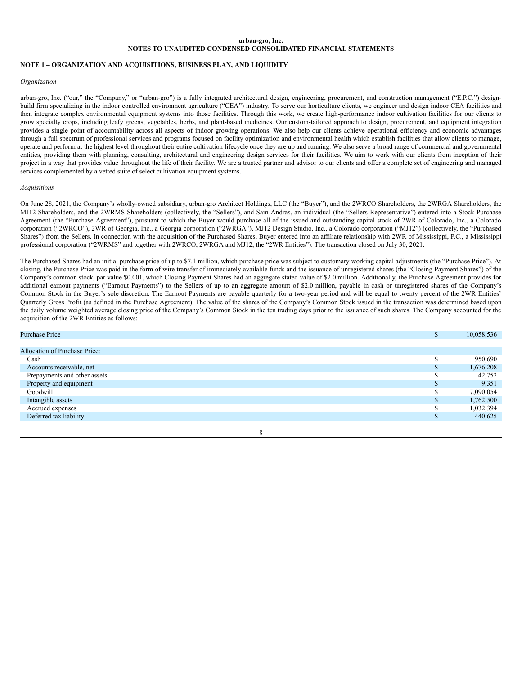### **urban-gro, Inc. NOTES TO UNAUDITED CONDENSED CONSOLIDATED FINANCIAL STATEMENTS**

### <span id="page-7-0"></span>**NOTE 1 – ORGANIZATION AND ACQUISITIONS, BUSINESS PLAN, AND LIQUIDITY**

### *Organization*

urban-gro, Inc. ("our," the "Company," or "urban-gro") is a fully integrated architectural design, engineering, procurement, and construction management ("E.P.C.") designbuild firm specializing in the indoor controlled environment agriculture ("CEA") industry. To serve our horticulture clients, we engineer and design indoor CEA facilities and then integrate complex environmental equipment systems into those facilities. Through this work, we create high-performance indoor cultivation facilities for our clients to grow specialty crops, including leafy greens, vegetables, herbs, and plant-based medicines. Our custom-tailored approach to design, procurement, and equipment integration provides a single point of accountability across all aspects of indoor growing operations. We also help our clients achieve operational efficiency and economic advantages through a full spectrum of professional services and programs focused on facility optimization and environmental health which establish facilities that allow clients to manage, operate and perform at the highest level throughout their entire cultivation lifecycle once they are up and running. We also serve a broad range of commercial and governmental entities, providing them with planning, consulting, architectural and engineering design services for their facilities. We aim to work with our clients from inception of their project in a way that provides value throughout the life of their facility. We are a trusted partner and advisor to our clients and offer a complete set of engineering and managed services complemented by a vetted suite of select cultivation equipment systems.

#### *Acquisitions*

On June 28, 2021, the Company's wholly-owned subsidiary, urban-gro Architect Holdings, LLC (the "Buyer"), and the 2WRCO Shareholders, the 2WRGA Shareholders, the MJ12 Shareholders, and the 2WRMS Shareholders (collectively, the "Sellers"), and Sam Andras, an individual (the "Sellers Representative") entered into a Stock Purchase Agreement (the "Purchase Agreement"), pursuant to which the Buyer would purchase all of the issued and outstanding capital stock of 2WR of Colorado, Inc., a Colorado corporation ("2WRCO"), 2WR of Georgia, Inc., a Georgia corporation ("2WRGA"), MJ12 Design Studio, Inc., a Colorado corporation ("MJ12") (collectively, the "Purchased Shares") from the Sellers. In connection with the acquisition of the Purchased Shares, Buyer entered into an affiliate relationship with 2WR of Mississippi, P.C., a Mississippi professional corporation ("2WRMS" and together with 2WRCO, 2WRGA and MJ12, the "2WR Entities"). The transaction closed on July 30, 2021.

The Purchased Shares had an initial purchase price of up to \$7.1 million, which purchase price was subject to customary working capital adjustments (the "Purchase Price"). At closing, the Purchase Price was paid in the form of wire transfer of immediately available funds and the issuance of unregistered shares (the "Closing Payment Shares") of the Company's common stock, par value \$0.001, which Closing Payment Shares had an aggregate stated value of \$2.0 million. Additionally, the Purchase Agreement provides for additional earnout payments ("Earnout Payments") to the Sellers of up to an aggregate amount of \$2.0 million, payable in cash or unregistered shares of the Company's Common Stock in the Buyer's sole discretion. The Earnout Payments are payable quarterly for a two-year period and will be equal to twenty percent of the 2WR Entities' Quarterly Gross Profit (as defined in the Purchase Agreement). The value of the shares of the Company's Common Stock issued in the transaction was determined based upon the daily volume weighted average closing price of the Company's Common Stock in the ten trading days prior to the issuance of such shares. The Company accounted for the acquisition of the 2WR Entities as follows:

| <b>Purchase Price</b>         |     | 10,058,536 |
|-------------------------------|-----|------------|
|                               |     |            |
| Allocation of Purchase Price: |     |            |
| Cash                          |     | 950,690    |
| Accounts receivable, net      |     | 1,676,208  |
| Prepayments and other assets  |     | 42,752     |
| Property and equipment        |     | 9,351      |
| Goodwill                      |     | 7,090,054  |
| Intangible assets             | JB. | 1,762,500  |
| Accrued expenses              |     | 1,032,394  |
| Deferred tax liability        |     | 440,625    |
|                               |     |            |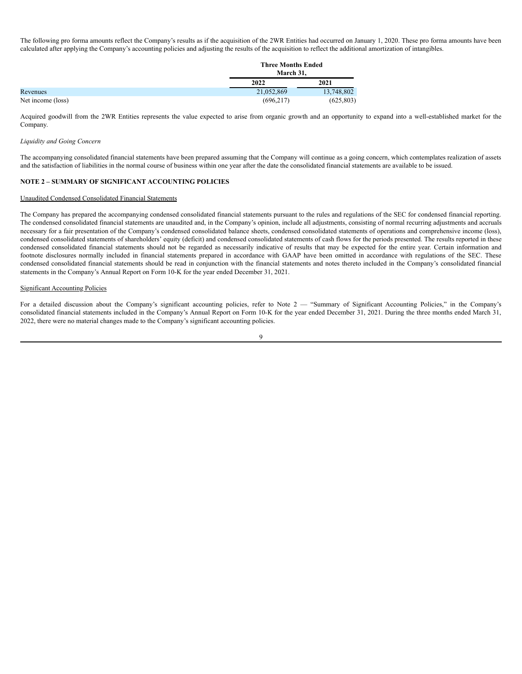The following pro forma amounts reflect the Company's results as if the acquisition of the 2WR Entities had occurred on January 1, 2020. These pro forma amounts have been calculated after applying the Company's accounting policies and adjusting the results of the acquisition to reflect the additional amortization of intangibles.

|                   | <b>Three Months Ended</b><br>March 31, |            |
|-------------------|----------------------------------------|------------|
|                   | 2022                                   | 2021       |
| Revenues          | 21,052,869                             | 13,748,802 |
| Net income (loss) | (696, 217)                             | (625, 803) |

Acquired goodwill from the 2WR Entities represents the value expected to arise from organic growth and an opportunity to expand into a well-established market for the Company.

#### *Liquidity and Going Concern*

The accompanying consolidated financial statements have been prepared assuming that the Company will continue as a going concern, which contemplates realization of assets and the satisfaction of liabilities in the normal course of business within one year after the date the consolidated financial statements are available to be issued.

### **NOTE 2 – SUMMARY OF SIGNIFICANT ACCOUNTING POLICIES**

#### Unaudited Condensed Consolidated Financial Statements

The Company has prepared the accompanying condensed consolidated financial statements pursuant to the rules and regulations of the SEC for condensed financial reporting. The condensed consolidated financial statements are unaudited and, in the Company's opinion, include all adjustments, consisting of normal recurring adjustments and accruals necessary for a fair presentation of the Company's condensed consolidated balance sheets, condensed consolidated statements of operations and comprehensive income (loss), condensed consolidated statements of shareholders' equity (deficit) and condensed consolidated statements of cash flows for the periods presented. The results reported in these condensed consolidated financial statements should not be regarded as necessarily indicative of results that may be expected for the entire year. Certain information and footnote disclosures normally included in financial statements prepared in accordance with GAAP have been omitted in accordance with regulations of the SEC. These condensed consolidated financial statements should be read in conjunction with the financial statements and notes thereto included in the Company's consolidated financial statements in the Company's Annual Report on Form 10-K for the year ended December 31, 2021.

#### Significant Accounting Policies

For a detailed discussion about the Company's significant accounting policies, refer to Note 2 — "Summary of Significant Accounting Policies," in the Company's consolidated financial statements included in the Company's Annual Report on Form 10-K for the year ended December 31, 2021. During the three months ended March 31, 2022, there were no material changes made to the Company's significant accounting policies.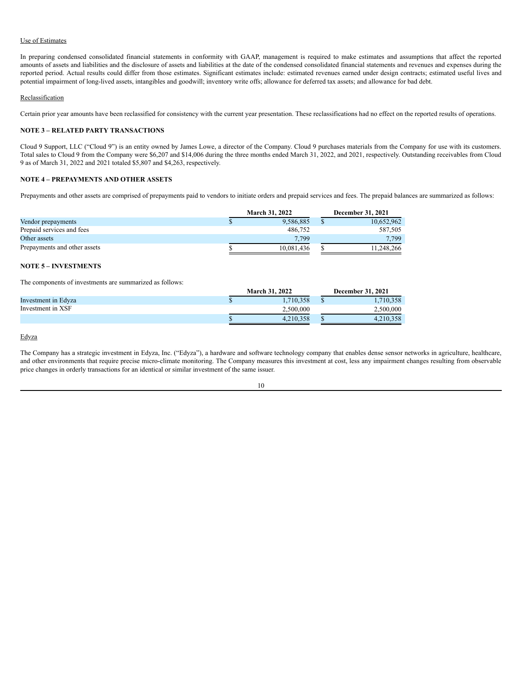### Use of Estimates

In preparing condensed consolidated financial statements in conformity with GAAP, management is required to make estimates and assumptions that affect the reported amounts of assets and liabilities and the disclosure of assets and liabilities at the date of the condensed consolidated financial statements and revenues and expenses during the reported period. Actual results could differ from those estimates. Significant estimates include: estimated revenues earned under design contracts; estimated useful lives and potential impairment of long-lived assets, intangibles and goodwill; inventory write offs; allowance for deferred tax assets; and allowance for bad debt.

#### **Reclassification**

Certain prior year amounts have been reclassified for consistency with the current year presentation. These reclassifications had no effect on the reported results of operations.

### **NOTE 3 – RELATED PARTY TRANSACTIONS**

Cloud 9 Support, LLC ("Cloud 9") is an entity owned by James Lowe, a director of the Company. Cloud 9 purchases materials from the Company for use with its customers. Total sales to Cloud 9 from the Company were \$6,207 and \$14,006 during the three months ended March 31, 2022, and 2021, respectively. Outstanding receivables from Cloud 9 as of March 31, 2022 and 2021 totaled \$5,807 and \$4,263, respectively.

### **NOTE 4 – PREPAYMENTS AND OTHER ASSETS**

Prepayments and other assets are comprised of prepayments paid to vendors to initiate orders and prepaid services and fees. The prepaid balances are summarized as follows:

|                              | <b>March 31, 2022</b> | <b>December 31, 2021</b> |
|------------------------------|-----------------------|--------------------------|
| Vendor prepayments           | 9.586.885             | 10,652,962               |
| Prepaid services and fees    | 486.752               | 587.505                  |
| Other assets                 | 7.799                 | 7.799                    |
| Prepayments and other assets | 10.081.436            | 11.248.266               |

### **NOTE 5 – INVESTMENTS**

The components of investments are summarized as follows:

|                     | <b>March 31, 2022</b> | <b>December 31, 2021</b> |
|---------------------|-----------------------|--------------------------|
| Investment in Edyza | .710,358              | 1.710.358                |
| Investment in XSF   | 2.500,000             | 2.500,000                |
|                     | 4.210.358             | 4.210.358                |

### Edyza

The Company has a strategic investment in Edyza, Inc. ("Edyza"), a hardware and software technology company that enables dense sensor networks in agriculture, healthcare, and other environments that require precise micro-climate monitoring. The Company measures this investment at cost, less any impairment changes resulting from observable price changes in orderly transactions for an identical or similar investment of the same issuer.

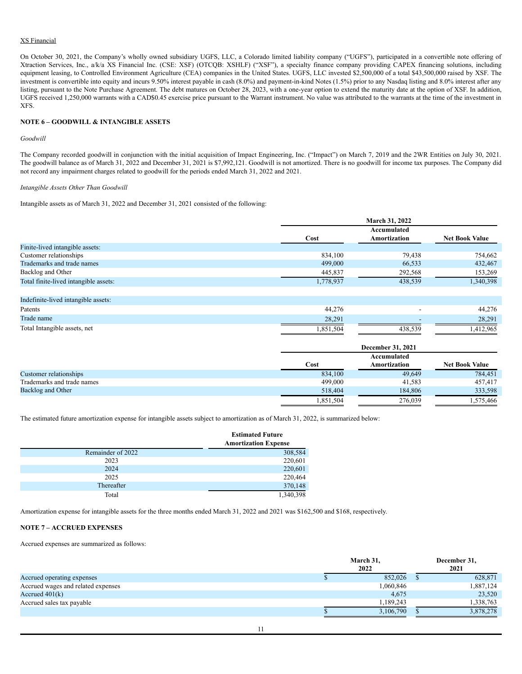### XS Financial

On October 30, 2021, the Company's wholly owned subsidiary UGFS, LLC, a Colorado limited liability company ("UGFS"), participated in a convertible note offering of Xtraction Services, Inc., a/k/a XS Financial Inc. (CSE: XSF) (OTCQB: XSHLF) ("XSF"), a specialty finance company providing CAPEX financing solutions, including equipment leasing, to Controlled Environment Agriculture (CEA) companies in the United States. UGFS, LLC invested \$2,500,000 of a total \$43,500,000 raised by XSF. The investment is convertible into equity and incurs 9.50% interest payable in cash (8.0%) and payment-in-kind Notes (1.5%) prior to any Nasdaq listing and 8.0% interest after any listing, pursuant to the Note Purchase Agreement. The debt matures on October 28, 2023, with a one-year option to extend the maturity date at the option of XSF. In addition, UGFS received 1,250,000 warrants with a CAD\$0.45 exercise price pursuant to the Warrant instrument. No value was attributed to the warrants at the time of the investment in XFS.

### **NOTE 6 – GOODWILL & INTANGIBLE ASSETS**

### *Goodwill*

The Company recorded goodwill in conjunction with the initial acquisition of Impact Engineering, Inc. ("Impact") on March 7, 2019 and the 2WR Entities on July 30, 2021. The goodwill balance as of March 31, 2022 and December 31, 2021 is \$7,992,121. Goodwill is not amortized. There is no goodwill for income tax purposes. The Company did not record any impairment charges related to goodwill for the periods ended March 31, 2022 and 2021.

#### *Intangible Assets Other Than Goodwill*

Intangible assets as of March 31, 2022 and December 31, 2021 consisted of the following:

|                                       |           | March 31, 2022                     |                       |
|---------------------------------------|-----------|------------------------------------|-----------------------|
|                                       | Cost      | Accumulated<br><b>Amortization</b> | <b>Net Book Value</b> |
| Finite-lived intangible assets:       |           |                                    |                       |
| Customer relationships                | 834,100   | 79,438                             | 754,662               |
| Trademarks and trade names            | 499,000   | 66,533                             | 432,467               |
| Backlog and Other                     | 445,837   | 292,568                            | 153,269               |
| Total finite-lived intangible assets: | 1,778,937 | 438,539                            | 1,340,398             |
| Indefinite-lived intangible assets:   |           |                                    |                       |
| Patents                               | 44,276    |                                    | 44,276                |
| Trade name                            | 28,291    |                                    | 28,291                |
| Total Intangible assets, net          | 1,851,504 | 438,539                            | 1,412,965             |
|                                       |           | December 31, 2021                  |                       |
|                                       | Cost      | Accumulated<br>Amortization        | <b>Net Book Value</b> |
| Customer relationships                | 834,100   | 49,649                             | 784,451               |
| Trademarks and trade names            | 499,000   | 41,583                             | 457,417               |

Backlog and Other 518,404 184,806 333,598 184,806 333,598 184,806 333,598 184,806 333,598 184,806 333,598 184,

1,851,504 276,039 1,575,466

The estimated future amortization expense for intangible assets subject to amortization as of March 31, 2022, is summarized below:

|                   | <b>Estimated Future</b>     |  |
|-------------------|-----------------------------|--|
|                   | <b>Amortization Expense</b> |  |
| Remainder of 2022 | 308,584                     |  |
| 2023              | 220,601                     |  |
| 2024              | 220,601                     |  |
| 2025              | 220,464                     |  |
| Thereafter        | 370,148                     |  |
| Total             | 1,340,398                   |  |

Amortization expense for intangible assets for the three months ended March 31, 2022 and 2021 was \$162,500 and \$168, respectively.

#### **NOTE 7 – ACCRUED EXPENSES**

Accrued expenses are summarized as follows:

|                                    | March 31,<br>2022 |           | December 31,<br>2021 |
|------------------------------------|-------------------|-----------|----------------------|
| Accrued operating expenses         |                   | 852,026   | 628,871              |
| Accrued wages and related expenses |                   | 1,060,846 | 1,887,124            |
| Accrued $401(k)$                   |                   | 4,675     | 23,520               |
| Accrued sales tax payable          |                   | 1,189,243 | 1,338,763            |
|                                    |                   | 3,106,790 | 3,878,278            |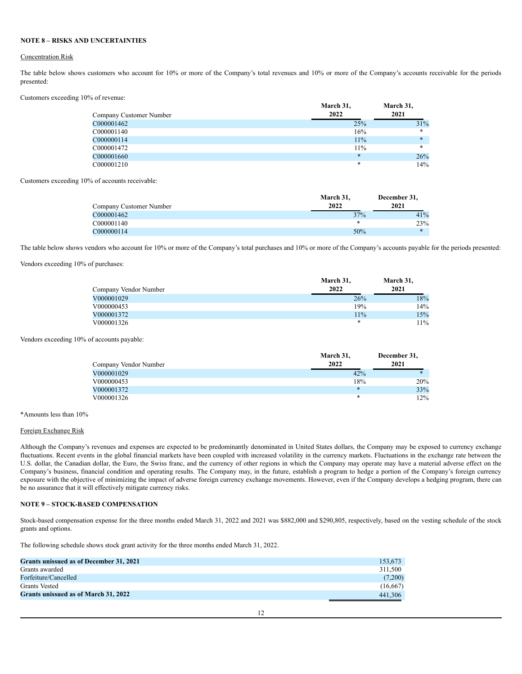### **NOTE 8 – RISKS AND UNCERTAINTIES**

#### Concentration Risk

The table below shows customers who account for 10% or more of the Company's total revenues and 10% or more of the Company's accounts receivable for the periods presented:

Customers exceeding 10% of revenue:

|                         | March 31, | March 31, |
|-------------------------|-----------|-----------|
| Company Customer Number | 2022      | 2021      |
| C000001462              | 25%       | 31%       |
| C000001140              | 16%       | *         |
| C000000114              | 11%       | $\ast$    |
| C000001472              | 11%       | *         |
| C000001660              | $\ast$    | 26%       |
| C000001210              | $\ast$    | 14%       |

Customers exceeding 10% of accounts receivable:

|                         | March 31. | December 31, |
|-------------------------|-----------|--------------|
| Company Customer Number | 2022      | 2021         |
| C000001462              | 37%       | 41%          |
| C000001140              | $\ast$    | 23%          |
| C000000114              | 50%       | $\ast$       |

The table below shows vendors who account for 10% or more of the Company's total purchases and 10% or more of the Company's accounts payable for the periods presented:

Vendors exceeding 10% of purchases:

|                       | March 31, | March 31, |
|-----------------------|-----------|-----------|
| Company Vendor Number | 2022      | 2021      |
| V000001029            | 26%       | 18%       |
| V000000453            | 19%       | 14%       |
| V000001372            | 11%       | 15%       |
| V000001326            | *         | $11\%$    |

Vendors exceeding 10% of accounts payable:

|                       | March 31, | December 31, |
|-----------------------|-----------|--------------|
| Company Vendor Number | 2022      | 2021         |
| V000001029            | 42%       | $\ast$       |
| V000000453            | 18%       | 20%          |
| V000001372            | $\ast$    | 33%          |
| V000001326            | $\ast$    | 12%          |

\*Amounts less than 10%

#### Foreign Exchange Risk

Although the Company's revenues and expenses are expected to be predominantly denominated in United States dollars, the Company may be exposed to currency exchange fluctuations. Recent events in the global financial markets have been coupled with increased volatility in the currency markets. Fluctuations in the exchange rate between the U.S. dollar, the Canadian dollar, the Euro, the Swiss franc, and the currency of other regions in which the Company may operate may have a material adverse effect on the Company's business, financial condition and operating results. The Company may, in the future, establish a program to hedge a portion of the Company's foreign currency exposure with the objective of minimizing the impact of adverse foreign currency exchange movements. However, even if the Company develops a hedging program, there can be no assurance that it will effectively mitigate currency risks.

### **NOTE 9 – STOCK-BASED COMPENSATION**

Stock-based compensation expense for the three months ended March 31, 2022 and 2021 was \$882,000 and \$290,805, respectively, based on the vesting schedule of the stock grants and options.

The following schedule shows stock grant activity for the three months ended March 31, 2022.

| Grants unissued as of December 31, 2021 | 153,673  |
|-----------------------------------------|----------|
| Grants awarded                          | 311.500  |
| Forfeiture/Cancelled                    | (7,200)  |
| <b>Grants</b> Vested                    | (16,667) |
| Grants unissued as of March 31, 2022    | 441.306  |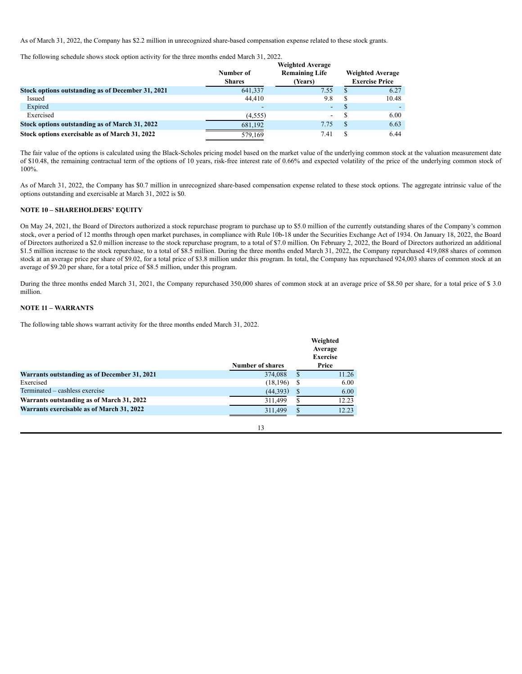As of March 31, 2022, the Company has \$2.2 million in unrecognized share-based compensation expense related to these stock grants.

The following schedule shows stock option activity for the three months ended March 31, 2022.

|                                                   |               | <b>Weighted Average</b> |                         |
|---------------------------------------------------|---------------|-------------------------|-------------------------|
|                                                   | Number of     | <b>Remaining Life</b>   | <b>Weighted Average</b> |
|                                                   | <b>Shares</b> | (Years)                 | <b>Exercise Price</b>   |
| Stock options outstanding as of December 31, 2021 | 641.337       | 7.55                    | 6.27                    |
| Issued                                            | 44.410        | 9.8                     | 10.48                   |
| Expired                                           |               | ٠                       |                         |
| Exercised                                         | (4,555)       | $\blacksquare$          | 6.00                    |
| Stock options outstanding as of March 31, 2022    | 681.192       | 7.75                    | 6.63                    |
| Stock options exercisable as of March 31, 2022    | 579.169       | 7.41                    | 6.44                    |

The fair value of the options is calculated using the Black-Scholes pricing model based on the market value of the underlying common stock at the valuation measurement date of \$10.48, the remaining contractual term of the options of 10 years, risk-free interest rate of 0.66% and expected volatility of the price of the underlying common stock of 100%.

As of March 31, 2022, the Company has \$0.7 million in unrecognized share-based compensation expense related to these stock options. The aggregate intrinsic value of the options outstanding and exercisable at March 31, 2022 is \$0.

### **NOTE 10 – SHAREHOLDERS' EQUITY**

On May 24, 2021, the Board of Directors authorized a stock repurchase program to purchase up to \$5.0 million of the currently outstanding shares of the Company's common stock, over a period of 12 months through open market purchases, in compliance with Rule 10b-18 under the Securities Exchange Act of 1934. On January 18, 2022, the Board of Directors authorized a \$2.0 million increase to the stock repurchase program, to a total of \$7.0 million. On February 2, 2022, the Board of Directors authorized an additional \$1.5 million increase to the stock repurchase, to a total of \$8.5 million. During the three months ended March 31, 2022, the Company repurchased 419,088 shares of common stock at an average price per share of \$9.02, for a total price of \$3.8 million under this program. In total, the Company has repurchased 924,003 shares of common stock at an average of \$9.20 per share, for a total price of \$8.5 million, under this program.

During the three months ended March 31, 2021, the Company repurchased 350,000 shares of common stock at an average price of \$8.50 per share, for a total price of \$ 3.0 million.

### **NOTE 11 – WARRANTS**

The following table shows warrant activity for the three months ended March 31, 2022.

|                                              | <b>Number of shares</b> |    | Weighted<br>Average<br><b>Exercise</b><br>Price |
|----------------------------------------------|-------------------------|----|-------------------------------------------------|
| Warrants outstanding as of December 31, 2021 | 374,088                 | \$ | 11.26                                           |
| Exercised                                    | (18, 196)               | S  | 6.00                                            |
| Terminated – cashless exercise               | (44, 393)               | S  | 6.00                                            |
| Warrants outstanding as of March 31, 2022    | 311.499                 |    | 12.23                                           |
| Warrants exercisable as of March 31, 2022    | 311.499                 | S  | 12.23                                           |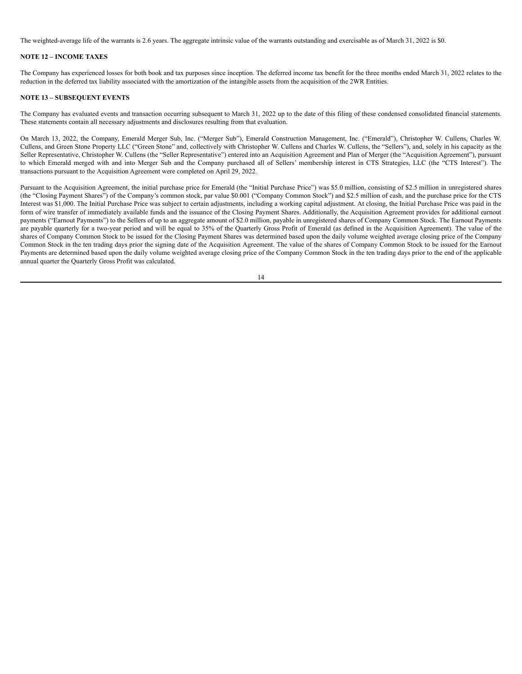The weighted-average life of the warrants is 2.6 years. The aggregate intrinsic value of the warrants outstanding and exercisable as of March 31, 2022 is \$0.

### **NOTE 12 – INCOME TAXES**

The Company has experienced losses for both book and tax purposes since inception. The deferred income tax benefit for the three months ended March 31, 2022 relates to the reduction in the deferred tax liability associated with the amortization of the intangible assets from the acquisition of the 2WR Entities.

### **NOTE 13 – SUBSEQUENT EVENTS**

The Company has evaluated events and transaction occurring subsequent to March 31, 2022 up to the date of this filing of these condensed consolidated financial statements. These statements contain all necessary adjustments and disclosures resulting from that evaluation.

On March 13, 2022, the Company, Emerald Merger Sub, Inc. ("Merger Sub"), Emerald Construction Management, Inc. ("Emerald"), Christopher W. Cullens, Charles W. Cullens, and Green Stone Property LLC ("Green Stone" and, collectively with Christopher W. Cullens and Charles W. Cullens, the "Sellers"), and, solely in his capacity as the Seller Representative, Christopher W. Cullens (the "Seller Representative") entered into an Acquisition Agreement and Plan of Merger (the "Acquisition Agreement"), pursuant to which Emerald merged with and into Merger Sub and the Company purchased all of Sellers' membership interest in CTS Strategies, LLC (the "CTS Interest"). The transactions pursuant to the Acquisition Agreement were completed on April 29, 2022.

Pursuant to the Acquisition Agreement, the initial purchase price for Emerald (the "Initial Purchase Price") was \$5.0 million, consisting of \$2.5 million in unregistered shares (the "Closing Payment Shares") of the Company's common stock, par value \$0.001 ("Company Common Stock") and \$2.5 million of cash, and the purchase price for the CTS Interest was \$1,000. The Initial Purchase Price was subject to certain adjustments, including a working capital adjustment. At closing, the Initial Purchase Price was paid in the form of wire transfer of immediately available funds and the issuance of the Closing Payment Shares. Additionally, the Acquisition Agreement provides for additional earnout payments ("Earnout Payments") to the Sellers of up to an aggregate amount of \$2.0 million, payable in unregistered shares of Company Common Stock. The Earnout Payments are payable quarterly for a two-year period and will be equal to 35% of the Quarterly Gross Profit of Emerald (as defined in the Acquisition Agreement). The value of the shares of Company Common Stock to be issued for the Closing Payment Shares was determined based upon the daily volume weighted average closing price of the Company Common Stock in the ten trading days prior the signing date of the Acquisition Agreement. The value of the shares of Company Common Stock to be issued for the Earnout Payments are determined based upon the daily volume weighted average closing price of the Company Common Stock in the ten trading days prior to the end of the applicable annual quarter the Quarterly Gross Profit was calculated.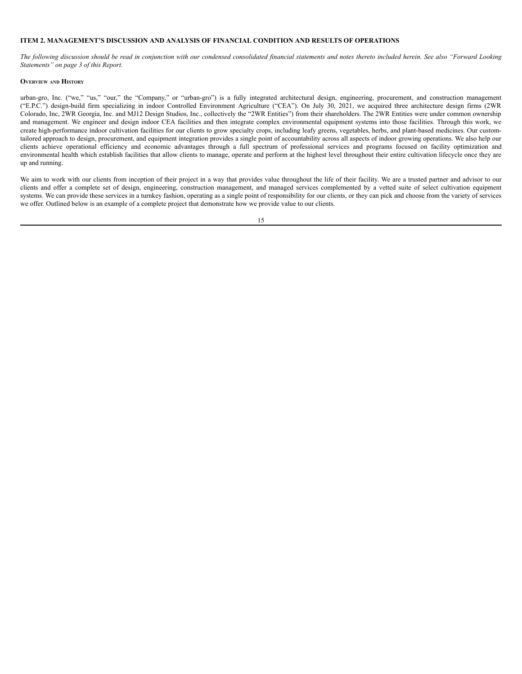### <span id="page-14-0"></span>**ITEM 2. MANAGEMENT'S DISCUSSION AND ANALYSIS OF FINANCIAL CONDITION AND RESULTS OF OPERATIONS**

The following discussion should be read in conjunction with our condensed consolidated financial statements and notes thereto included herein. See also "Forward Looking *Statements" on page 3 of this Report.*

#### **OVERVIEW AND HISTORY**

urban-gro, Inc. ("we," "us," "our," the "Company," or "urban-gro") is a fully integrated architectural design, engineering, procurement, and construction management ("E.P.C.") design-build firm specializing in indoor Controlled Environment Agriculture ("CEA"). On July 30, 2021, we acquired three architecture design firms (2WR Colorado, Inc, 2WR Georgia, Inc. and MJ12 Design Studios, Inc., collectively the "2WR Entities") from their shareholders. The 2WR Entities were under common ownership and management. We engineer and design indoor CEA facilities and then integrate complex environmental equipment systems into those facilities. Through this work, we create high-performance indoor cultivation facilities for our clients to grow specialty crops, including leafy greens, vegetables, herbs, and plant-based medicines. Our customtailored approach to design, procurement, and equipment integration provides a single point of accountability across all aspects of indoor growing operations. We also help our clients achieve operational efficiency and economic advantages through a full spectrum of professional services and programs focused on facility optimization and environmental health which establish facilities that allow clients to manage, operate and perform at the highest level throughout their entire cultivation lifecycle once they are up and running.

We aim to work with our clients from inception of their project in a way that provides value throughout the life of their facility. We are a trusted partner and advisor to our clients and offer a complete set of design, engineering, construction management, and managed services complemented by a vetted suite of select cultivation equipment systems. We can provide these services in a turnkey fashion, operating as a single point of responsibility for our clients, or they can pick and choose from the variety of services we offer. Outlined below is an example of a complete project that demonstrate how we provide value to our clients.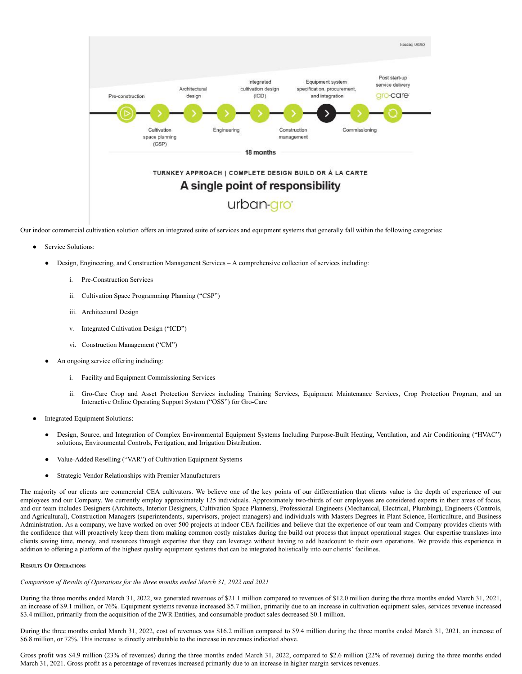

Our indoor commercial cultivation solution offers an integrated suite of services and equipment systems that generally fall within the following categories:

- Service Solutions:
	- Design, Engineering, and Construction Management Services A comprehensive collection of services including:
		- i. Pre-Construction Services
		- ii. Cultivation Space Programming Planning ("CSP")
		- iii. Architectural Design
		- v. Integrated Cultivation Design ("ICD")
		- vi. Construction Management ("CM")
	- An ongoing service offering including:
		- i. Facility and Equipment Commissioning Services
		- ii. Gro-Care Crop and Asset Protection Services including Training Services, Equipment Maintenance Services, Crop Protection Program, and an Interactive Online Operating Support System ("OSS") for Gro-Care
- **Integrated Equipment Solutions:** 
	- Design, Source, and Integration of Complex Environmental Equipment Systems Including Purpose-Built Heating, Ventilation, and Air Conditioning ("HVAC") solutions, Environmental Controls, Fertigation, and Irrigation Distribution.
	- Value-Added Reselling ("VAR") of Cultivation Equipment Systems
	- Strategic Vendor Relationships with Premier Manufacturers

The majority of our clients are commercial CEA cultivators. We believe one of the key points of our differentiation that clients value is the depth of experience of our employees and our Company. We currently employ approximately 125 individuals. Approximately two-thirds of our employees are considered experts in their areas of focus, and our team includes Designers (Architects, Interior Designers, Cultivation Space Planners), Professional Engineers (Mechanical, Electrical, Plumbing), Engineers (Controls, and Agricultural), Construction Managers (superintendents, supervisors, project managers) and individuals with Masters Degrees in Plant Science, Horticulture, and Business Administration. As a company, we have worked on over 500 projects at indoor CEA facilities and believe that the experience of our team and Company provides clients with the confidence that will proactively keep them from making common costly mistakes during the build out process that impact operational stages. Our expertise translates into clients saving time, money, and resources through expertise that they can leverage without having to add headcount to their own operations. We provide this experience in addition to offering a platform of the highest quality equipment systems that can be integrated holistically into our clients' facilities.

#### **RESULTS O<sup>F</sup> OPERATIONS**

*Comparison of Results of Operations for the three months ended March 31, 2022 and 2021*

During the three months ended March 31, 2022, we generated revenues of \$21.1 million compared to revenues of \$12.0 million during the three months ended March 31, 2021, an increase of \$9.1 million, or 76%. Equipment systems revenue increased \$5.7 million, primarily due to an increase in cultivation equipment sales, services revenue increased \$3.4 million, primarily from the acquisition of the 2WR Entities, and consumable product sales decreased \$0.1 million.

During the three months ended March 31, 2022, cost of revenues was \$16.2 million compared to \$9.4 million during the three months ended March 31, 2021, an increase of \$6.8 million, or 72%. This increase is directly attributable to the increase in revenues indicated above.

Gross profit was \$4.9 million (23% of revenues) during the three months ended March 31, 2022, compared to \$2.6 million (22% of revenue) during the three months ended March 31, 2021. Gross profit as a percentage of revenues increased primarily due to an increase in higher margin services revenues.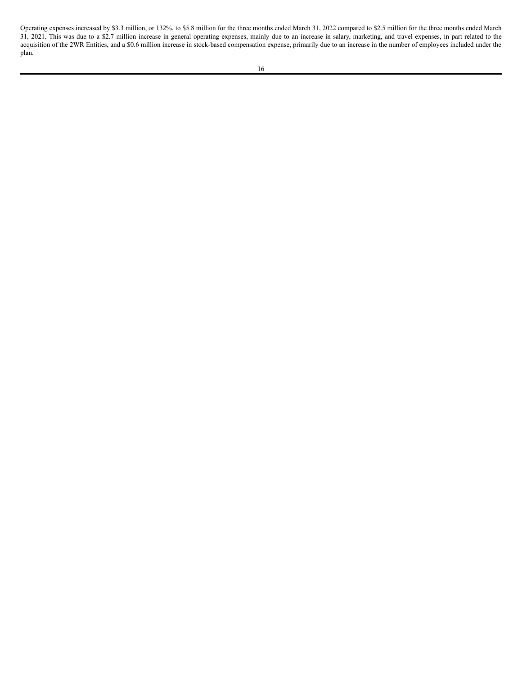Operating expenses increased by \$3.3 million, or 132%, to \$5.8 million for the three months ended March 31, 2022 compared to \$2.5 million for the three months ended March 31, 2021. This was due to a \$2.7 million increase in general operating expenses, mainly due to an increase in salary, marketing, and travel expenses, in part related to the acquisition of the 2WR Entities, and a \$0.6 million increase in stock-based compensation expense, primarily due to an increase in the number of employees included under the plan.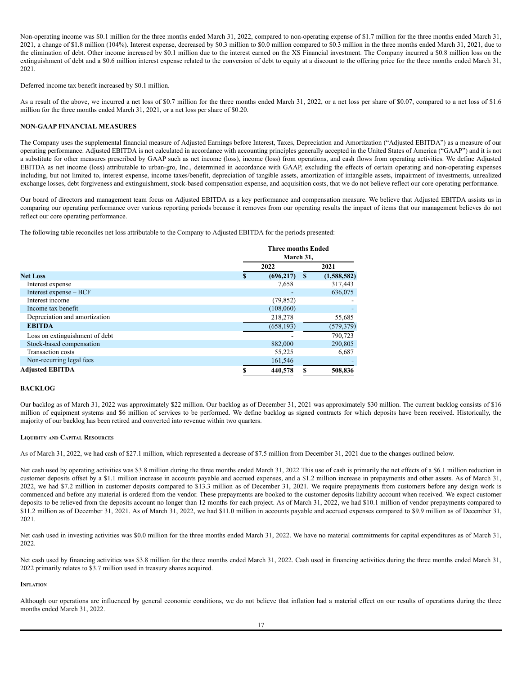Non-operating income was \$0.1 million for the three months ended March 31, 2022, compared to non-operating expense of \$1.7 million for the three months ended March 31, 2021, a change of \$1.8 million (104%). Interest expense, decreased by \$0.3 million to \$0.0 million compared to \$0.3 million in the three months ended March 31, 2021, due to the elimination of debt. Other income increased by \$0.1 million due to the interest earned on the XS Financial investment. The Company incurred a \$0.8 million loss on the extinguishment of debt and a \$0.6 million interest expense related to the conversion of debt to equity at a discount to the offering price for the three months ended March 31, 2021.

Deferred income tax benefit increased by \$0.1 million.

As a result of the above, we incurred a net loss of \$0.7 million for the three months ended March 31, 2022, or a net loss per share of \$0.07, compared to a net loss of \$1.6 million for the three months ended March 31, 2021, or a net loss per share of \$0.20.

### **NON-GAAP FINANCIAL MEASURES**

The Company uses the supplemental financial measure of Adjusted Earnings before Interest, Taxes, Depreciation and Amortization ("Adjusted EBITDA") as a measure of our operating performance. Adjusted EBITDA is not calculated in accordance with accounting principles generally accepted in the United States of America ("GAAP") and it is not a substitute for other measures prescribed by GAAP such as net income (loss), income (loss) from operations, and cash flows from operating activities. We define Adjusted EBITDA as net income (loss) attributable to urban-gro, Inc., determined in accordance with GAAP, excluding the effects of certain operating and non-operating expenses including, but not limited to, interest expense, income taxes/benefit, depreciation of tangible assets, amortization of intangible assets, impairment of investments, unrealized exchange losses, debt forgiveness and extinguishment, stock-based compensation expense, and acquisition costs, that we do not believe reflect our core operating performance.

Our board of directors and management team focus on Adjusted EBITDA as a key performance and compensation measure. We believe that Adjusted EBITDA assists us in comparing our operating performance over various reporting periods because it removes from our operating results the impact of items that our management believes do not reflect our core operating performance.

The following table reconciles net loss attributable to the Company to Adjusted EBITDA for the periods presented:

|                                | <b>Three months Ended</b><br>March 31, |            |   |             |
|--------------------------------|----------------------------------------|------------|---|-------------|
|                                |                                        | 2022       |   | 2021        |
| <b>Net Loss</b>                | S                                      | (696, 217) | S | (1,588,582) |
| Interest expense               |                                        | 7,658      |   | 317,443     |
| Interest expense – BCF         |                                        |            |   | 636,075     |
| Interest income                |                                        | (79, 852)  |   |             |
| Income tax benefit             |                                        | (108,060)  |   |             |
| Depreciation and amortization  |                                        | 218,278    |   | 55,685      |
| <b>EBITDA</b>                  |                                        | (658, 193) |   | (579, 379)  |
| Loss on extinguishment of debt |                                        |            |   | 790,723     |
| Stock-based compensation       |                                        | 882,000    |   | 290,805     |
| <b>Transaction costs</b>       |                                        | 55,225     |   | 6,687       |
| Non-recurring legal fees       |                                        | 161,546    |   |             |
| <b>Adjusted EBITDA</b>         | S                                      | 440,578    |   | 508,836     |

#### **BACKLOG**

Our backlog as of March 31, 2022 was approximately \$22 million. Our backlog as of December 31, 2021 was approximately \$30 million. The current backlog consists of \$16 million of equipment systems and \$6 million of services to be performed. We define backlog as signed contracts for which deposits have been received. Historically, the majority of our backlog has been retired and converted into revenue within two quarters.

#### **LIQUIDITY AND CAPITAL RESOURCES**

As of March 31, 2022, we had cash of \$27.1 million, which represented a decrease of \$7.5 million from December 31, 2021 due to the changes outlined below.

Net cash used by operating activities was \$3.8 million during the three months ended March 31, 2022 This use of cash is primarily the net effects of a \$6.1 million reduction in customer deposits offset by a \$1.1 million increase in accounts payable and accrued expenses, and a \$1.2 million increase in prepayments and other assets. As of March 31, 2022, we had \$7.2 million in customer deposits compared to \$13.3 million as of December 31, 2021. We require prepayments from customers before any design work is commenced and before any material is ordered from the vendor. These prepayments are booked to the customer deposits liability account when received. We expect customer deposits to be relieved from the deposits account no longer than 12 months for each project. As of March 31, 2022, we had \$10.1 million of vendor prepayments compared to \$11.2 million as of December 31, 2021. As of March 31, 2022, we had \$11.0 million in accounts payable and accrued expenses compared to \$9.9 million as of December 31, 2021.

Net cash used in investing activities was \$0.0 million for the three months ended March 31, 2022. We have no material commitments for capital expenditures as of March 31, 2022.

Net cash used by financing activities was \$3.8 million for the three months ended March 31, 2022. Cash used in financing activities during the three months ended March 31, 2022 primarily relates to \$3.7 million used in treasury shares acquired.

#### **INFLATION**

Although our operations are influenced by general economic conditions, we do not believe that inflation had a material effect on our results of operations during the three months ended March 31, 2022.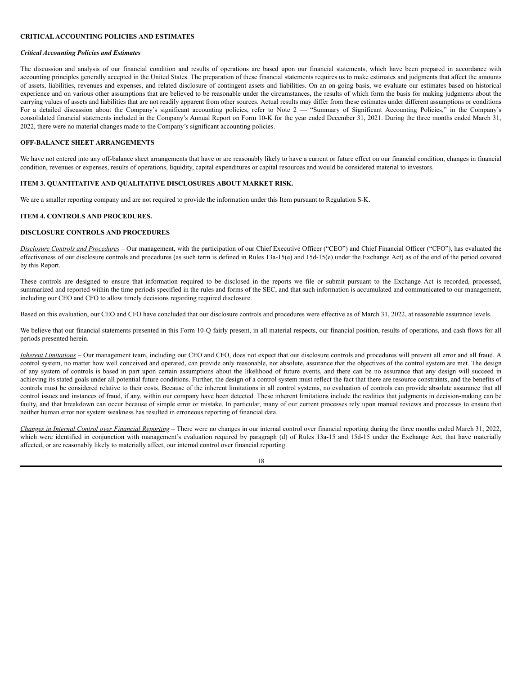### **CRITICALACCOUNTING POLICIES AND ESTIMATES**

### *Critical Accounting Policies and Estimates*

The discussion and analysis of our financial condition and results of operations are based upon our financial statements, which have been prepared in accordance with accounting principles generally accepted in the United States. The preparation of these financial statements requires us to make estimates and judgments that affect the amounts of assets, liabilities, revenues and expenses, and related disclosure of contingent assets and liabilities. On an on-going basis, we evaluate our estimates based on historical experience and on various other assumptions that are believed to be reasonable under the circumstances, the results of which form the basis for making judgments about the carrying values of assets and liabilities that are not readily apparent from other sources. Actual results may differ from these estimates under different assumptions or conditions For a detailed discussion about the Company's significant accounting policies, refer to Note 2 — "Summary of Significant Accounting Policies," in the Company's consolidated financial statements included in the Company's Annual Report on Form 10-K for the year ended December 31, 2021. During the three months ended March 31, 2022, there were no material changes made to the Company's significant accounting policies.

### **OFF-BALANCE SHEET ARRANGEMENTS**

We have not entered into any off-balance sheet arrangements that have or are reasonably likely to have a current or future effect on our financial condition, changes in financial condition, revenues or expenses, results of operations, liquidity, capital expenditures or capital resources and would be considered material to investors.

#### <span id="page-18-0"></span>**ITEM 3. QUANTITATIVE AND QUALITATIVE DISCLOSURES ABOUT MARKET RISK.**

We are a smaller reporting company and are not required to provide the information under this Item pursuant to Regulation S-K.

### <span id="page-18-1"></span>**ITEM 4. CONTROLS AND PROCEDURES.**

#### **DISCLOSURE CONTROLS AND PROCEDURES**

*Disclosure Controls and Procedures* – Our management, with the participation of our Chief Executive Officer ("CEO") and Chief Financial Officer ("CFO"), has evaluated the effectiveness of our disclosure controls and procedures (as such term is defined in Rules  $13a-15(e)$  and  $15d-15(e)$  under the Exchange Act) as of the end of the period covered by this Report.

These controls are designed to ensure that information required to be disclosed in the reports we file or submit pursuant to the Exchange Act is recorded, processed, summarized and reported within the time periods specified in the rules and forms of the SEC, and that such information is accumulated and communicated to our management, including our CEO and CFO to allow timely decisions regarding required disclosure.

Based on this evaluation, our CEO and CFO have concluded that our disclosure controls and procedures were effective as of March 31, 2022, at reasonable assurance levels.

We believe that our financial statements presented in this Form 10-Q fairly present, in all material respects, our financial position, results of operations, and cash flows for all periods presented herein.

*Inherent Limitations* – Our management team, including our CEO and CFO, does not expect that our disclosure controls and procedures will prevent all error and all fraud. A control system, no matter how well conceived and operated, can provide only reasonable, not absolute, assurance that the objectives of the control system are met. The design of any system of controls is based in part upon certain assumptions about the likelihood of future events, and there can be no assurance that any design will succeed in achieving its stated goals under all potential future conditions. Further, the design of a control system must reflect the fact that there are resource constraints, and the benefits of controls must be considered relative to their costs. Because of the inherent limitations in all control systems, no evaluation of controls can provide absolute assurance that all control issues and instances of fraud, if any, within our company have been detected. These inherent limitations include the realities that judgments in decision-making can be faulty, and that breakdown can occur because of simple error or mistake. In particular, many of our current processes rely upon manual reviews and processes to ensure that neither human error nor system weakness has resulted in erroneous reporting of financial data.

*Changes in Internal Control over Financial Reporting* – There were no changes in our internal control over financial reporting during the three months ended March 31, 2022, which were identified in conjunction with management's evaluation required by paragraph (d) of Rules 13a-15 and 15d-15 under the Exchange Act, that have materially affected, or are reasonably likely to materially affect, our internal control over financial reporting.

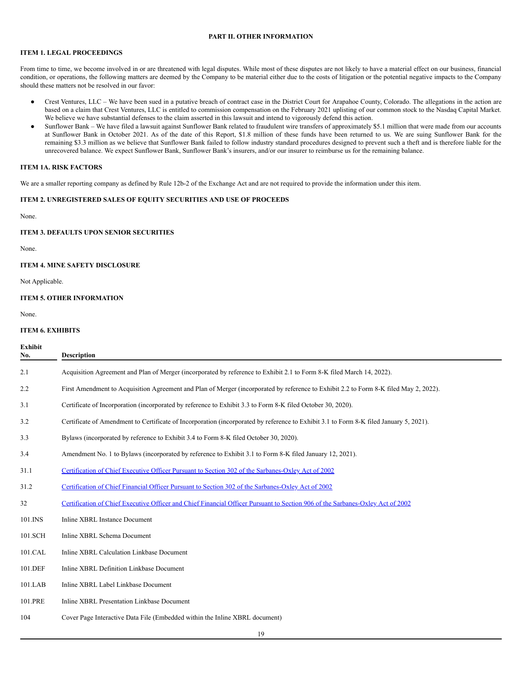### **PART II. OTHER INFORMATION**

### <span id="page-19-1"></span><span id="page-19-0"></span>**ITEM 1. LEGAL PROCEEDINGS**

From time to time, we become involved in or are threatened with legal disputes. While most of these disputes are not likely to have a material effect on our business, financial condition, or operations, the following matters are deemed by the Company to be material either due to the costs of litigation or the potential negative impacts to the Company should these matters not be resolved in our favor:

- Crest Ventures, LLC We have been sued in a putative breach of contract case in the District Court for Arapahoe County, Colorado. The allegations in the action are based on a claim that Crest Ventures, LLC is entitled to commission compensation on the February 2021 uplisting of our common stock to the Nasdaq Capital Market. We believe we have substantial defenses to the claim asserted in this lawsuit and intend to vigorously defend this action.
- Sunflower Bank We have filed a lawsuit against Sunflower Bank related to fraudulent wire transfers of approximately \$5.1 million that were made from our accounts at Sunflower Bank in October 2021. As of the date of this Report, \$1.8 million of these funds have been returned to us. We are suing Sunflower Bank for the remaining \$3.3 million as we believe that Sunflower Bank failed to follow industry standard procedures designed to prevent such a theft and is therefore liable for the unrecovered balance. We expect Sunflower Bank, Sunflower Bank's insurers, and/or our insurer to reimburse us for the remaining balance.

### <span id="page-19-2"></span>**ITEM 1A. RISK FACTORS**

We are a smaller reporting company as defined by Rule 12b-2 of the Exchange Act and are not required to provide the information under this item.

#### <span id="page-19-3"></span>**ITEM 2. UNREGISTERED SALES OF EQUITY SECURITIES AND USE OF PROCEEDS**

None.

### <span id="page-19-4"></span>**ITEM 3. DEFAULTS UPON SENIOR SECURITIES**

None.

### <span id="page-19-5"></span>**ITEM 4. MINE SAFETY DISCLOSURE**

Not Applicable.

### <span id="page-19-6"></span>**ITEM 5. OTHER INFORMATION**

None.

**Exhibit**

### <span id="page-19-7"></span>**ITEM 6. EXHIBITS**

| No.        | <b>Description</b>                                                                                                                     |
|------------|----------------------------------------------------------------------------------------------------------------------------------------|
| 2.1        | Acquisition Agreement and Plan of Merger (incorporated by reference to Exhibit 2.1 to Form 8-K filed March 14, 2022).                  |
| 2.2        | First Amendment to Acquisition Agreement and Plan of Merger (incorporated by reference to Exhibit 2.2 to Form 8-K filed May 2, 2022).  |
| 3.1        | Certificate of Incorporation (incorporated by reference to Exhibit 3.3 to Form 8-K filed October 30, 2020).                            |
| 3.2        | Certificate of Amendment to Certificate of Incorporation (incorporated by reference to Exhibit 3.1 to Form 8-K filed January 5, 2021). |
| 3.3        | Bylaws (incorporated by reference to Exhibit 3.4 to Form 8-K filed October 30, 2020).                                                  |
| 3.4        | Amendment No. 1 to Bylaws (incorporated by reference to Exhibit 3.1 to Form 8-K filed January 12, 2021).                               |
| 31.1       | Certification of Chief Executive Officer Pursuant to Section 302 of the Sarbanes-Oxley Act of 2002                                     |
| 31.2       | Certification of Chief Financial Officer Pursuant to Section 302 of the Sarbanes-Oxley Act of 2002                                     |
| 32         | Certification of Chief Executive Officer and Chief Financial Officer Pursuant to Section 906 of the Sarbanes-Oxley Act of 2002         |
| 101.INS    | Inline XBRL Instance Document                                                                                                          |
| 101.SCH    | Inline XBRL Schema Document                                                                                                            |
| 101.CAL    | Inline XBRL Calculation Linkbase Document                                                                                              |
| 101.DEF    | Inline XBRL Definition Linkbase Document                                                                                               |
| $101$ .LAB | Inline XBRL Label Linkbase Document                                                                                                    |
| 101.PRE    | Inline XBRL Presentation Linkbase Document                                                                                             |
| 104        | Cover Page Interactive Data File (Embedded within the Inline XBRL document)                                                            |
|            |                                                                                                                                        |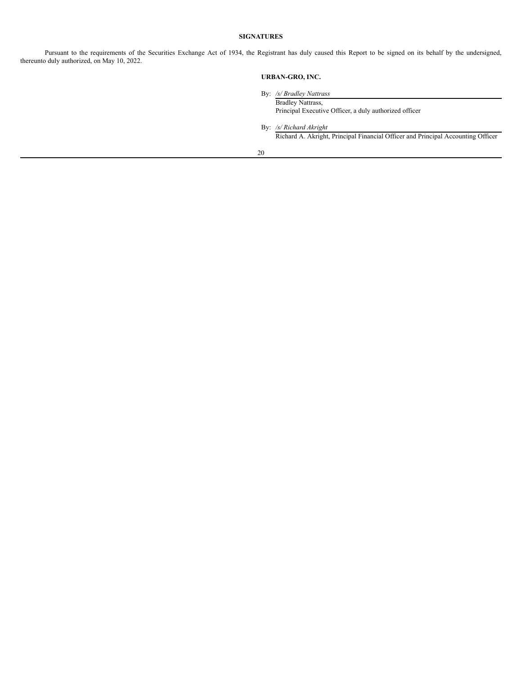### **SIGNATURES**

<span id="page-20-0"></span>Pursuant to the requirements of the Securities Exchange Act of 1934, the Registrant has duly caused this Report to be signed on its behalf by the undersigned, thereunto duly authorized, on May 10, 2022.

# **URBAN-GRO, INC.**

By: */s/ Bradley Nattrass*

Bradley Nattrass, Principal Executive Officer, a duly authorized officer

By: */s/ Richard Akright* Richard A. Akright, Principal Financial Officer and Principal Accounting Officer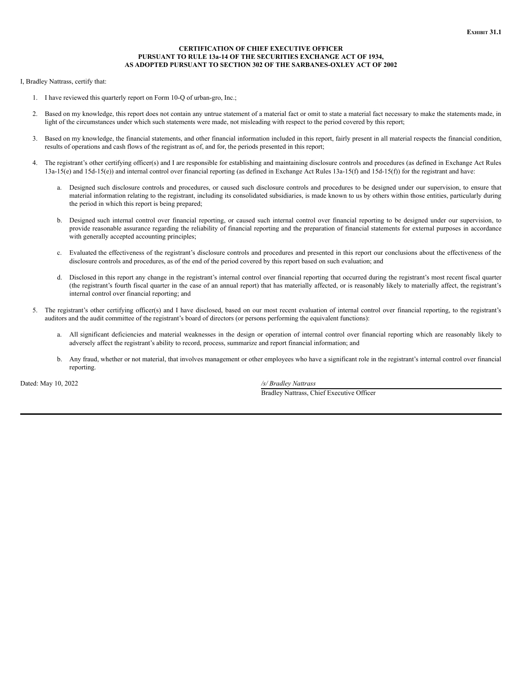### **CERTIFICATION OF CHIEF EXECUTIVE OFFICER PURSUANT TO RULE 13a-14 OF THE SECURITIES EXCHANGE ACT OF 1934, AS ADOPTED PURSUANT TO SECTION 302 OF THE SARBANES-OXLEY ACT OF 2002**

I, Bradley Nattrass, certify that:

- 1. I have reviewed this quarterly report on Form 10-Q of urban-gro, Inc.;
- 2. Based on my knowledge, this report does not contain any untrue statement of a material fact or omit to state a material fact necessary to make the statements made, in light of the circumstances under which such statements were made, not misleading with respect to the period covered by this report;
- 3. Based on my knowledge, the financial statements, and other financial information included in this report, fairly present in all material respects the financial condition, results of operations and cash flows of the registrant as of, and for, the periods presented in this report;
- 4. The registrant's other certifying officer(s) and I are responsible for establishing and maintaining disclosure controls and procedures (as defined in Exchange Act Rules  $13a-15(e)$  and  $15d-15(e)$  and internal control over financial reporting (as defined in Exchange Act Rules  $13a-15(f)$  and  $15d-15(f)$ ) for the registrant and have:
	- a. Designed such disclosure controls and procedures, or caused such disclosure controls and procedures to be designed under our supervision, to ensure that material information relating to the registrant, including its consolidated subsidiaries, is made known to us by others within those entities, particularly during the period in which this report is being prepared;
	- b. Designed such internal control over financial reporting, or caused such internal control over financial reporting to be designed under our supervision, to provide reasonable assurance regarding the reliability of financial reporting and the preparation of financial statements for external purposes in accordance with generally accepted accounting principles;
	- c. Evaluated the effectiveness of the registrant's disclosure controls and procedures and presented in this report our conclusions about the effectiveness of the disclosure controls and procedures, as of the end of the period covered by this report based on such evaluation; and
	- d. Disclosed in this report any change in the registrant's internal control over financial reporting that occurred during the registrant's most recent fiscal quarter (the registrant's fourth fiscal quarter in the case of an annual report) that has materially affected, or is reasonably likely to materially affect, the registrant's internal control over financial reporting; and
- 5. The registrant's other certifying officer(s) and I have disclosed, based on our most recent evaluation of internal control over financial reporting, to the registrant's auditors and the audit committee of the registrant's board of directors (or persons performing the equivalent functions):
	- a. All significant deficiencies and material weaknesses in the design or operation of internal control over financial reporting which are reasonably likely to adversely affect the registrant's ability to record, process, summarize and report financial information; and
	- b. Any fraud, whether or not material, that involves management or other employees who have a significant role in the registrant's internal control over financial reporting.

Dated: May 10, 2022 */s/ Bradley Nattrass*

Bradley Nattrass, Chief Executive Officer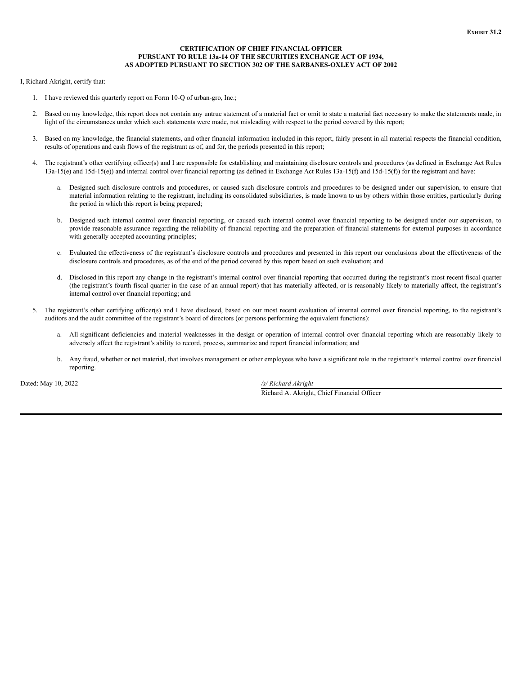### **CERTIFICATION OF CHIEF FINANCIAL OFFICER PURSUANT TO RULE 13a-14 OF THE SECURITIES EXCHANGE ACT OF 1934, AS ADOPTED PURSUANT TO SECTION 302 OF THE SARBANES-OXLEY ACT OF 2002**

I, Richard Akright, certify that:

- 1. I have reviewed this quarterly report on Form 10-Q of urban-gro, Inc.;
- 2. Based on my knowledge, this report does not contain any untrue statement of a material fact or omit to state a material fact necessary to make the statements made, in light of the circumstances under which such statements were made, not misleading with respect to the period covered by this report;
- 3. Based on my knowledge, the financial statements, and other financial information included in this report, fairly present in all material respects the financial condition, results of operations and cash flows of the registrant as of, and for, the periods presented in this report;
- 4. The registrant's other certifying officer(s) and I are responsible for establishing and maintaining disclosure controls and procedures (as defined in Exchange Act Rules  $13a-15(e)$  and  $15d-15(e)$  and internal control over financial reporting (as defined in Exchange Act Rules  $13a-15(f)$  and  $15d-15(f)$ ) for the registrant and have:
	- a. Designed such disclosure controls and procedures, or caused such disclosure controls and procedures to be designed under our supervision, to ensure that material information relating to the registrant, including its consolidated subsidiaries, is made known to us by others within those entities, particularly during the period in which this report is being prepared;
	- b. Designed such internal control over financial reporting, or caused such internal control over financial reporting to be designed under our supervision, to provide reasonable assurance regarding the reliability of financial reporting and the preparation of financial statements for external purposes in accordance with generally accepted accounting principles;
	- c. Evaluated the effectiveness of the registrant's disclosure controls and procedures and presented in this report our conclusions about the effectiveness of the disclosure controls and procedures, as of the end of the period covered by this report based on such evaluation; and
	- d. Disclosed in this report any change in the registrant's internal control over financial reporting that occurred during the registrant's most recent fiscal quarter (the registrant's fourth fiscal quarter in the case of an annual report) that has materially affected, or is reasonably likely to materially affect, the registrant's internal control over financial reporting; and
- 5. The registrant's other certifying officer(s) and I have disclosed, based on our most recent evaluation of internal control over financial reporting, to the registrant's auditors and the audit committee of the registrant's board of directors (or persons performing the equivalent functions):
	- a. All significant deficiencies and material weaknesses in the design or operation of internal control over financial reporting which are reasonably likely to adversely affect the registrant's ability to record, process, summarize and report financial information; and
	- b. Any fraud, whether or not material, that involves management or other employees who have a significant role in the registrant's internal control over financial reporting.

Dated: May 10, 2022 */s/ Richard Akright*

Richard A. Akright, Chief Financial Officer